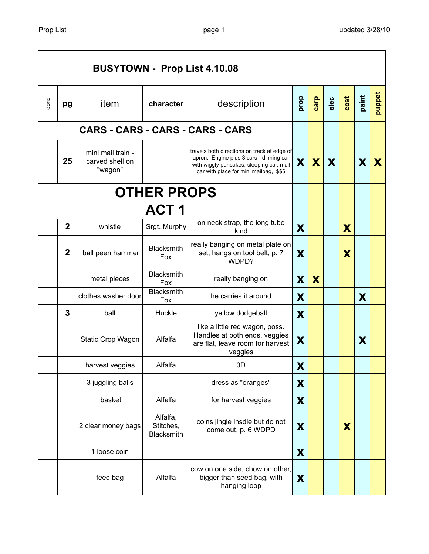|      |                  | <b>BUSYTOWN - Prop List 4.10.08</b>             |                                     |                                                                                                                                                                               |      |      |      |      |       |        |
|------|------------------|-------------------------------------------------|-------------------------------------|-------------------------------------------------------------------------------------------------------------------------------------------------------------------------------|------|------|------|------|-------|--------|
| done | pg               | item                                            | character                           | description                                                                                                                                                                   | prop | carp | elec | cost | paint | puppet |
|      |                  |                                                 |                                     | CARS - CARS - CARS - CARS - CARS                                                                                                                                              |      |      |      |      |       |        |
|      | 25               | mini mail train -<br>carved shell on<br>"wagon" |                                     | travels both directions on track at edge of<br>apron. Engine plus 3 cars - dinning car<br>with wiggly pancakes, sleeping car, mail<br>car with place for mini mailbag, \$\$\$ | X    | X    | X    |      | X     | X      |
|      |                  |                                                 | <b>OTHER PROPS</b>                  |                                                                                                                                                                               |      |      |      |      |       |        |
|      |                  |                                                 | <b>ACT 1</b>                        |                                                                                                                                                                               |      |      |      |      |       |        |
|      | $\overline{2}$   | whistle                                         | Srgt. Murphy                        | on neck strap, the long tube<br>kind                                                                                                                                          | X    |      |      | X    |       |        |
|      | $\boldsymbol{2}$ | ball peen hammer                                | <b>Blacksmith</b><br>Fox            | really banging on metal plate on<br>set, hangs on tool belt, p. 7<br>WDPD?                                                                                                    | X    |      |      | X    |       |        |
|      |                  | metal pieces                                    | Blacksmith<br>Fox                   | really banging on                                                                                                                                                             | X    | X    |      |      |       |        |
|      |                  | clothes washer door                             | Blacksmith<br>Fox                   | he carries it around                                                                                                                                                          | X    |      |      |      | X     |        |
|      | 3                | ball                                            | Huckle                              | yellow dodgeball                                                                                                                                                              | X    |      |      |      |       |        |
|      |                  | Static Crop Wagon                               | Alfalfa                             | like a little red wagon, poss.<br>Handles at both ends, veggies<br>are flat, leave room for harvest<br>veggies                                                                | X    |      |      |      | X     |        |
|      |                  | harvest veggies                                 | Alfalfa                             | 3D                                                                                                                                                                            | X    |      |      |      |       |        |
|      |                  | 3 juggling balls                                |                                     | dress as "oranges"                                                                                                                                                            | X    |      |      |      |       |        |
|      |                  | basket                                          | Alfalfa                             | for harvest veggies                                                                                                                                                           | X    |      |      |      |       |        |
|      |                  | 2 clear money bags                              | Alfalfa,<br>Stitches,<br>Blacksmith | coins jingle insdie but do not<br>come out, p. 6 WDPD                                                                                                                         | X    |      |      | X    |       |        |
|      |                  | 1 loose coin                                    |                                     |                                                                                                                                                                               | X    |      |      |      |       |        |
|      |                  | feed bag                                        | Alfalfa                             | cow on one side, chow on other,<br>bigger than seed bag, with<br>hanging loop                                                                                                 | X    |      |      |      |       |        |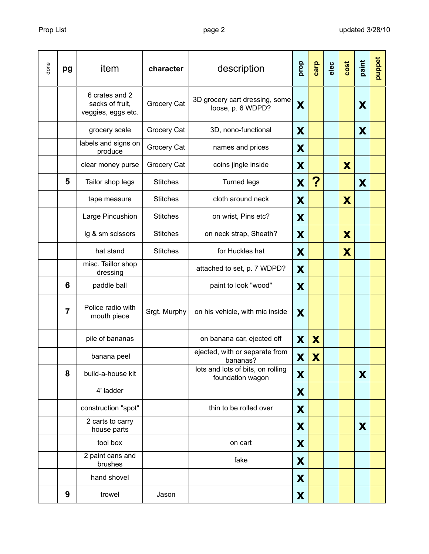| done | pg             | item                                                    | character       | description                                           | prop | carp | elec | cost | paint | puppet |
|------|----------------|---------------------------------------------------------|-----------------|-------------------------------------------------------|------|------|------|------|-------|--------|
|      |                | 6 crates and 2<br>sacks of fruit,<br>veggies, eggs etc. | Grocery Cat     | 3D grocery cart dressing, some<br>loose, p. 6 WDPD?   | X    |      |      |      | X     |        |
|      |                | grocery scale                                           | Grocery Cat     | 3D, nono-functional                                   | X    |      |      |      | X     |        |
|      |                | labels and signs on<br>produce                          | Grocery Cat     | names and prices                                      | X    |      |      |      |       |        |
|      |                | clear money purse                                       | Grocery Cat     | coins jingle inside                                   | X    |      |      | X    |       |        |
|      | 5              | Tailor shop legs                                        | <b>Stitches</b> | <b>Turned legs</b>                                    | X    | ?    |      |      | X     |        |
|      |                | tape measure                                            | <b>Stitches</b> | cloth around neck                                     | X    |      |      | X    |       |        |
|      |                | Large Pincushion                                        | <b>Stitches</b> | on wrist, Pins etc?                                   | X    |      |      |      |       |        |
|      |                | lg & sm scissors                                        | <b>Stitches</b> | on neck strap, Sheath?                                | X    |      |      | X    |       |        |
|      |                | hat stand                                               | <b>Stitches</b> | for Huckles hat                                       | X    |      |      | X    |       |        |
|      |                | misc. Taillor shop<br>dressing                          |                 | attached to set, p. 7 WDPD?                           | X    |      |      |      |       |        |
|      | 6              | paddle ball                                             |                 | paint to look "wood"                                  | X    |      |      |      |       |        |
|      | $\overline{7}$ | Police radio with<br>mouth piece                        | Srgt. Murphy    | on his vehicle, with mic inside                       | X    |      |      |      |       |        |
|      |                | pile of bananas                                         |                 | on banana car, ejected off                            | X    | X    |      |      |       |        |
|      |                | banana peel                                             |                 | ejected, with or separate from<br>bananas?            | X    | X    |      |      |       |        |
|      | 8              | build-a-house kit                                       |                 | lots and lots of bits, on rolling<br>foundation wagon | X    |      |      |      | X     |        |
|      |                | 4' ladder                                               |                 |                                                       | X    |      |      |      |       |        |
|      |                | construction "spot"                                     |                 | thin to be rolled over                                | X    |      |      |      |       |        |
|      |                | 2 carts to carry<br>house parts                         |                 |                                                       | X    |      |      |      | X     |        |
|      |                | tool box                                                |                 | on cart                                               | X    |      |      |      |       |        |
|      |                | 2 paint cans and<br>brushes                             |                 | fake                                                  | X    |      |      |      |       |        |
|      |                | hand shovel                                             |                 |                                                       | X    |      |      |      |       |        |
|      | 9              | trowel                                                  | Jason           |                                                       | X    |      |      |      |       |        |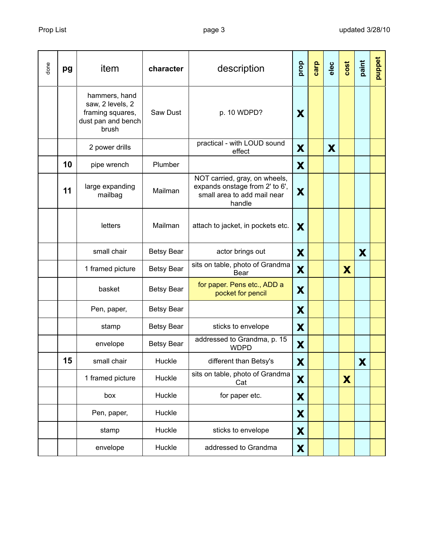| done | pg | item                                                                                 | character         | description                                                                                              | prop | carp | elec | cost | paint | puppet |
|------|----|--------------------------------------------------------------------------------------|-------------------|----------------------------------------------------------------------------------------------------------|------|------|------|------|-------|--------|
|      |    | hammers, hand<br>saw, 2 levels, 2<br>framing squares,<br>dust pan and bench<br>brush | Saw Dust          | p. 10 WDPD?                                                                                              | X    |      |      |      |       |        |
|      |    | 2 power drills                                                                       |                   | practical - with LOUD sound<br>effect                                                                    | X    |      | X    |      |       |        |
|      | 10 | pipe wrench                                                                          | Plumber           |                                                                                                          | X    |      |      |      |       |        |
|      | 11 | large expanding<br>mailbag                                                           | Mailman           | NOT carried, gray, on wheels,<br>expands onstage from 2' to 6',<br>small area to add mail near<br>handle | X    |      |      |      |       |        |
|      |    | letters                                                                              | Mailman           | attach to jacket, in pockets etc.                                                                        | X    |      |      |      |       |        |
|      |    | small chair                                                                          | <b>Betsy Bear</b> | actor brings out                                                                                         | X    |      |      |      | X     |        |
|      |    | 1 framed picture                                                                     | <b>Betsy Bear</b> | sits on table, photo of Grandma<br>Bear                                                                  | X    |      |      | X    |       |        |
|      |    | basket                                                                               | <b>Betsy Bear</b> | for paper. Pens etc., ADD a<br>pocket for pencil                                                         | X    |      |      |      |       |        |
|      |    | Pen, paper,                                                                          | <b>Betsy Bear</b> |                                                                                                          | X    |      |      |      |       |        |
|      |    | stamp                                                                                | <b>Betsy Bear</b> | sticks to envelope                                                                                       | X    |      |      |      |       |        |
|      |    | envelope                                                                             | <b>Betsy Bear</b> | addressed to Grandma, p. 15<br><b>WDPD</b>                                                               | X    |      |      |      |       |        |
|      | 15 | small chair                                                                          | Huckle            | different than Betsy's                                                                                   | X    |      |      |      | X     |        |
|      |    | 1 framed picture                                                                     | Huckle            | sits on table, photo of Grandma<br>Cat                                                                   | X    |      |      | X    |       |        |
|      |    | box                                                                                  | Huckle            | for paper etc.                                                                                           | X    |      |      |      |       |        |
|      |    | Pen, paper,                                                                          | Huckle            |                                                                                                          | X    |      |      |      |       |        |
|      |    | stamp                                                                                | Huckle            | sticks to envelope                                                                                       | X    |      |      |      |       |        |
|      |    | envelope                                                                             | Huckle            | addressed to Grandma                                                                                     | X    |      |      |      |       |        |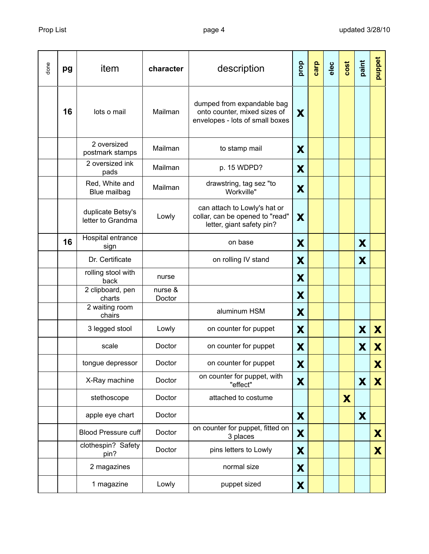| done | pg | item                                   | character         | description                                                                                   | prop | carp | elec | cost | paint | puppet |
|------|----|----------------------------------------|-------------------|-----------------------------------------------------------------------------------------------|------|------|------|------|-------|--------|
|      | 16 | lots o mail                            | Mailman           | dumped from expandable bag<br>onto counter, mixed sizes of<br>envelopes - lots of small boxes | X    |      |      |      |       |        |
|      |    | 2 oversized<br>postmark stamps         | Mailman           | to stamp mail                                                                                 | X    |      |      |      |       |        |
|      |    | 2 oversized ink<br>pads                | Mailman           | p. 15 WDPD?                                                                                   | X    |      |      |      |       |        |
|      |    | Red, White and<br>Blue mailbag         | Mailman           | drawstring, tag sez "to<br>Workville"                                                         | X    |      |      |      |       |        |
|      |    | duplicate Betsy's<br>letter to Grandma | Lowly             | can attach to Lowly's hat or<br>collar, can be opened to "read"<br>letter, giant safety pin?  | X    |      |      |      |       |        |
|      | 16 | Hospital entrance<br>sign              |                   | on base                                                                                       | X    |      |      |      | X     |        |
|      |    | Dr. Certificate                        |                   | on rolling IV stand                                                                           | X    |      |      |      | X     |        |
|      |    | rolling stool with<br>back             | nurse             |                                                                                               | X    |      |      |      |       |        |
|      |    | 2 clipboard, pen<br>charts             | nurse &<br>Doctor |                                                                                               | X    |      |      |      |       |        |
|      |    | 2 waiting room<br>chairs               |                   | aluminum HSM                                                                                  | X    |      |      |      |       |        |
|      |    | 3 legged stool                         | Lowly             | on counter for puppet                                                                         | X    |      |      |      | X     | X      |
|      |    | scale                                  | Doctor            | on counter for puppet                                                                         | X    |      |      |      | X     | X      |
|      |    | tongue depressor                       | Doctor            | on counter for puppet                                                                         | X    |      |      |      |       | X      |
|      |    | X-Ray machine                          | Doctor            | on counter for puppet, with<br>"effect"                                                       | X    |      |      |      | X     | X      |
|      |    | stethoscope                            | Doctor            | attached to costume                                                                           |      |      |      | X    |       |        |
|      |    | apple eye chart                        | Doctor            |                                                                                               | X    |      |      |      | X     |        |
|      |    | <b>Blood Pressure cuff</b>             | Doctor            | on counter for puppet, fitted on<br>3 places                                                  | X    |      |      |      |       | X      |
|      |    | clothespin? Safety<br>pin?             | Doctor            | pins letters to Lowly                                                                         | X    |      |      |      |       | X      |
|      |    | 2 magazines                            |                   | normal size                                                                                   | X    |      |      |      |       |        |
|      |    | 1 magazine                             | Lowly             | puppet sized                                                                                  | X    |      |      |      |       |        |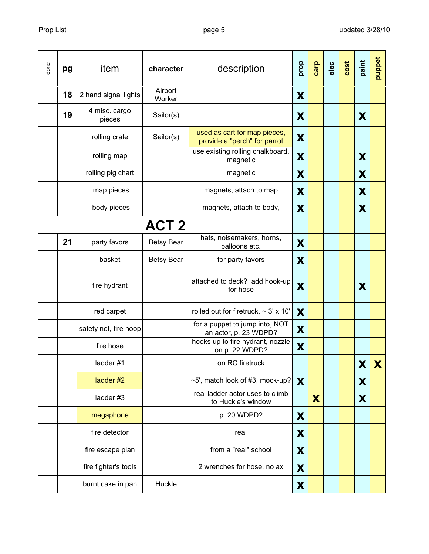| done | pg | item                    | character         | description                                                  | prop | carp | elec | cost | paint | puppet |
|------|----|-------------------------|-------------------|--------------------------------------------------------------|------|------|------|------|-------|--------|
|      | 18 | 2 hand signal lights    | Airport<br>Worker |                                                              | X    |      |      |      |       |        |
|      | 19 | 4 misc. cargo<br>pieces | Sailor(s)         |                                                              | X    |      |      |      | X     |        |
|      |    | rolling crate           | Sailor(s)         | used as cart for map pieces,<br>provide a "perch" for parrot | X    |      |      |      |       |        |
|      |    | rolling map             |                   | use existing rolling chalkboard,<br>magnetic                 | X    |      |      |      | X     |        |
|      |    | rolling pig chart       |                   | magnetic                                                     | X    |      |      |      | X     |        |
|      |    | map pieces              |                   | magnets, attach to map                                       | X    |      |      |      | X     |        |
|      |    | body pieces             |                   | magnets, attach to body,                                     | X    |      |      |      | X     |        |
|      |    |                         | ACT <sub>2</sub>  |                                                              |      |      |      |      |       |        |
|      | 21 | party favors            | <b>Betsy Bear</b> | hats, noisemakers, horns,<br>balloons etc.                   | X    |      |      |      |       |        |
|      |    | basket                  | <b>Betsy Bear</b> | for party favors                                             | X    |      |      |      |       |        |
|      |    | fire hydrant            |                   | attached to deck? add hook-up<br>for hose                    | X    |      |      |      | X     |        |
|      |    | red carpet              |                   | rolled out for firetruck, $\sim$ 3' x 10'                    | X    |      |      |      |       |        |
|      |    | safety net, fire hoop   |                   | for a puppet to jump into, NOT<br>an actor, p. 23 WDPD?      | X    |      |      |      |       |        |
|      |    | fire hose               |                   | hooks up to fire hydrant, nozzle<br>on p. 22 WDPD?           | X    |      |      |      |       |        |
|      |    | ladder#1                |                   | on RC firetruck                                              |      |      |      |      | X     | X      |
|      |    | ladder #2               |                   | $\sim$ 5', match look of #3, mock-up?                        | X    |      |      |      | X     |        |
|      |    | ladder#3                |                   | real ladder actor uses to climb<br>to Huckle's window        |      | X    |      |      | X     |        |
|      |    | megaphone               |                   | p. 20 WDPD?                                                  | X    |      |      |      |       |        |
|      |    | fire detector           |                   | real                                                         | X    |      |      |      |       |        |
|      |    | fire escape plan        |                   | from a "real" school                                         | X    |      |      |      |       |        |
|      |    | fire fighter's tools    |                   | 2 wrenches for hose, no ax                                   | X    |      |      |      |       |        |
|      |    | burnt cake in pan       | Huckle            |                                                              | X    |      |      |      |       |        |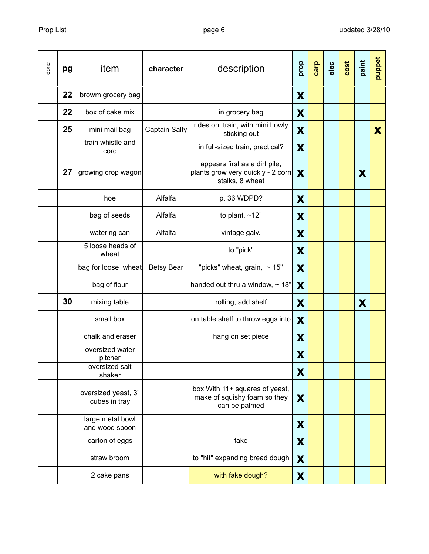| done | pg | item                                 | character            | description                                                                           | prop | carp | elec | cost | paint | puppet |
|------|----|--------------------------------------|----------------------|---------------------------------------------------------------------------------------|------|------|------|------|-------|--------|
|      | 22 | browm grocery bag                    |                      |                                                                                       | X    |      |      |      |       |        |
|      | 22 | box of cake mix                      |                      | in grocery bag                                                                        | X    |      |      |      |       |        |
|      | 25 | mini mail bag                        | <b>Captain Salty</b> | rides on train, with mini Lowly<br>sticking out                                       | X    |      |      |      |       | X      |
|      |    | train whistle and<br>cord            |                      | in full-sized train, practical?                                                       | X    |      |      |      |       |        |
|      | 27 | growing crop wagon                   |                      | appears first as a dirt pile,<br>plants grow very quickly - 2 corn<br>stalks, 8 wheat | X    |      |      |      | X     |        |
|      |    | hoe                                  | Alfalfa              | p. 36 WDPD?                                                                           | X    |      |      |      |       |        |
|      |    | bag of seeds                         | Alfalfa              | to plant, $~12"$                                                                      | X    |      |      |      |       |        |
|      |    | watering can                         | Alfalfa              | vintage galv.                                                                         | X    |      |      |      |       |        |
|      |    | 5 loose heads of<br>wheat            |                      | to "pick"                                                                             | X    |      |      |      |       |        |
|      |    | bag for loose wheat                  | <b>Betsy Bear</b>    | "picks" wheat, grain, $\sim$ 15"                                                      | X    |      |      |      |       |        |
|      |    | bag of flour                         |                      | handed out thru a window, $\sim$ 18"                                                  | X    |      |      |      |       |        |
|      | 30 | mixing table                         |                      | rolling, add shelf                                                                    | X    |      |      |      | X     |        |
|      |    | small box                            |                      | on table shelf to throw eggs into                                                     | X    |      |      |      |       |        |
|      |    | chalk and eraser                     |                      | hang on set piece                                                                     | X    |      |      |      |       |        |
|      |    | oversized water<br>pitcher           |                      |                                                                                       | X    |      |      |      |       |        |
|      |    | oversized salt<br>shaker             |                      |                                                                                       | X    |      |      |      |       |        |
|      |    | oversized yeast, 3"<br>cubes in tray |                      | box With 11+ squares of yeast,<br>make of squishy foam so they<br>can be palmed       | X    |      |      |      |       |        |
|      |    | large metal bowl<br>and wood spoon   |                      |                                                                                       | X    |      |      |      |       |        |
|      |    | carton of eggs                       |                      | fake                                                                                  | X    |      |      |      |       |        |
|      |    | straw broom                          |                      | to "hit" expanding bread dough                                                        | X    |      |      |      |       |        |
|      |    | 2 cake pans                          |                      | with fake dough?                                                                      | X    |      |      |      |       |        |